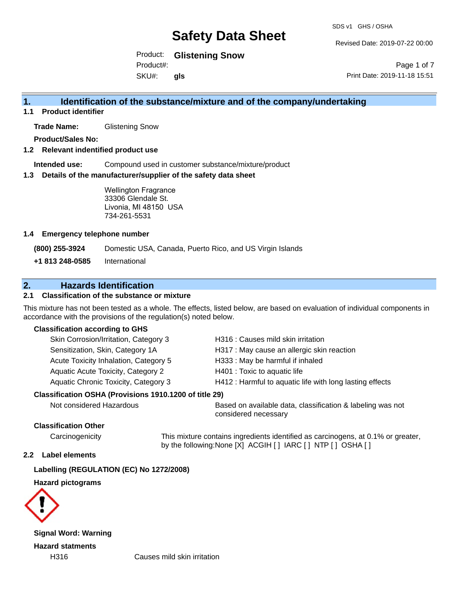Revised Date: 2019-07-22 00:00

Product: **Glistening Snow** Product#:

SKU#: **gls**

Page 1 of 7 Print Date: 2019-11-18 15:51

## **1. Identification of the substance/mixture and of the company/undertaking**

**1.1 Product identifier**

**Trade Name:** Glistening Snow

**Product/Sales No:**

#### **1.2 Relevant indentified product use**

**Intended use:** Compound used in customer substance/mixture/product

#### **1.3 Details of the manufacturer/supplier of the safety data sheet**

Wellington Fragrance 33306 Glendale St. Livonia, MI 48150 USA 734-261-5531

#### **1.4 Emergency telephone number**

**(800) 255-3924** Domestic USA, Canada, Puerto Rico, and US Virgin Islands

**+1 813 248-0585** International

### **2. Hazards Identification**

#### **2.1 Classification of the substance or mixture**

This mixture has not been tested as a whole. The effects, listed below, are based on evaluation of individual components in accordance with the provisions of the regulation(s) noted below.

#### **Classification according to GHS**

| Skin Corrosion/Irritation, Category 3                  | H316 : Causes mild skin irritation                       |
|--------------------------------------------------------|----------------------------------------------------------|
| Sensitization, Skin, Category 1A                       | H317 : May cause an allergic skin reaction               |
| Acute Toxicity Inhalation, Category 5                  | H333: May be harmful if inhaled                          |
| Aquatic Acute Toxicity, Category 2                     | H401 : Toxic to aquatic life                             |
| Aquatic Chronic Toxicity, Category 3                   | H412 : Harmful to aquatic life with long lasting effects |
| Classification OSHA (Provisions 1910.1200 of title 29) |                                                          |
|                                                        |                                                          |

Not considered Hazardous Based on available data, classification & labeling was not considered necessary

### **Classification Other**

Carcinogenicity This mixture contains ingredients identified as carcinogens, at 0.1% or greater, by the following:None [X] ACGIH [ ] IARC [ ] NTP [ ] OSHA [ ]

### **2.2 Label elements**

### **Labelling (REGULATION (EC) No 1272/2008)**

### **Hazard pictograms**



**Signal Word: Warning Hazard statments**

H316 Causes mild skin irritation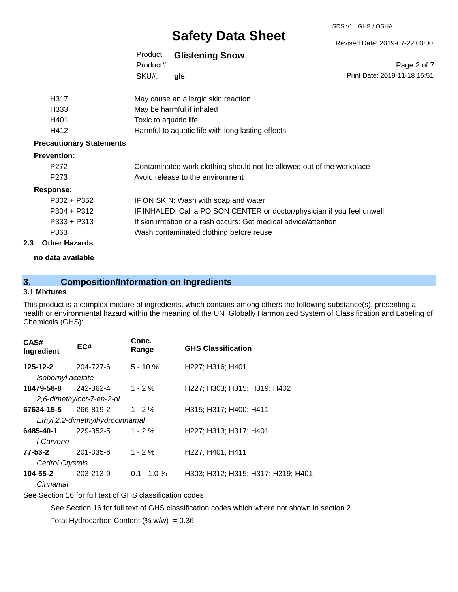#### SDS v1 GHS / OSHA

# **Safety Data Sheet**

### Product: **Glistening Snow**

SKU#: Product#: **gls**

| H317                            | May cause an allergic skin reaction                                     |
|---------------------------------|-------------------------------------------------------------------------|
| H333                            | May be harmful if inhaled                                               |
| H401                            | Toxic to aquatic life                                                   |
| H412                            | Harmful to aquatic life with long lasting effects                       |
| <b>Precautionary Statements</b> |                                                                         |
| <b>Prevention:</b>              |                                                                         |
| P <sub>272</sub>                | Contaminated work clothing should not be allowed out of the workplace   |
| P <sub>273</sub>                | Avoid release to the environment                                        |
| Response:                       |                                                                         |
| $P302 + P352$                   | IF ON SKIN: Wash with soap and water                                    |
| $P304 + P312$                   | IF INHALED: Call a POISON CENTER or doctor/physician if you feel unwell |
| $P333 + P313$                   | If skin irritation or a rash occurs: Get medical advice/attention       |
| P363                            | Wash contaminated clothing before reuse                                 |

#### **2.3 Other Hazards**

**no data available**

# **3. Composition/Information on Ingredients**

### **3.1 Mixtures**

This product is a complex mixture of ingredients, which contains among others the following substance(s), presenting a health or environmental hazard within the meaning of the UN Globally Harmonized System of Classification and Labeling of Chemicals (GHS):

| CAS#<br>Ingredient                                       | EC#                             | Conc.<br>Range | <b>GHS Classification</b>          |  |
|----------------------------------------------------------|---------------------------------|----------------|------------------------------------|--|
| 125-12-2                                                 | 204-727-6                       | $5 - 10%$      | H227; H316; H401                   |  |
| Isobornyl acetate                                        |                                 |                |                                    |  |
| 18479-58-8                                               | 242-362-4                       | $1 - 2 \%$     | H227; H303; H315; H319; H402       |  |
|                                                          | 2,6-dimethyloct-7-en-2-ol       |                |                                    |  |
| 67634-15-5                                               | 266-819-2                       | $1 - 2 \%$     | H315: H317: H400: H411             |  |
|                                                          | Ethyl 2,2-dimethylhydrocinnamal |                |                                    |  |
| 6485-40-1                                                | 229-352-5                       | $1 - 2 \%$     | H227; H313; H317; H401             |  |
| I-Carvone                                                |                                 |                |                                    |  |
| 77-53-2                                                  | 201-035-6                       | $1 - 2 \%$     | H227; H401; H411                   |  |
| Cedrol Crystals                                          |                                 |                |                                    |  |
| 104-55-2                                                 | 203-213-9                       | $0.1 - 1.0 \%$ | H303; H312; H315; H317; H319; H401 |  |
| Cinnamal                                                 |                                 |                |                                    |  |
| See Section 16 for full text of GHS classification codes |                                 |                |                                    |  |

See Section 16 for full text of GHS classification codes which where not shown in section 2 Total Hydrocarbon Content (%  $w/w$ ) = 0.36

Revised Date: 2019-07-22 00:00

Print Date: 2019-11-18 15:51

Page 2 of 7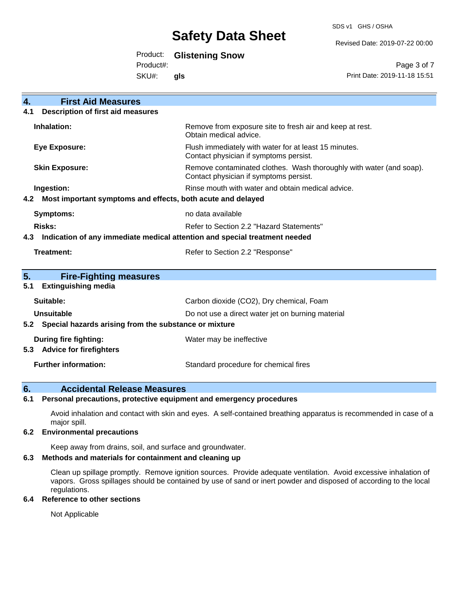SDS v1 GHS / OSHA

Revised Date: 2019-07-22 00:00

# Product: **Glistening Snow**

Product#:

SKU#: **gls**

Page 3 of 7 Print Date: 2019-11-18 15:51

| <b>First Aid Measures</b><br>4.                                                   |                                                                                                               |  |  |  |
|-----------------------------------------------------------------------------------|---------------------------------------------------------------------------------------------------------------|--|--|--|
| <b>Description of first aid measures</b><br>4.1                                   |                                                                                                               |  |  |  |
| Inhalation:                                                                       | Remove from exposure site to fresh air and keep at rest.<br>Obtain medical advice.                            |  |  |  |
| <b>Eye Exposure:</b>                                                              | Flush immediately with water for at least 15 minutes.<br>Contact physician if symptoms persist.               |  |  |  |
| <b>Skin Exposure:</b>                                                             | Remove contaminated clothes. Wash thoroughly with water (and soap).<br>Contact physician if symptoms persist. |  |  |  |
| Ingestion:                                                                        | Rinse mouth with water and obtain medical advice.                                                             |  |  |  |
| Most important symptoms and effects, both acute and delayed<br>4.2                |                                                                                                               |  |  |  |
| <b>Symptoms:</b>                                                                  | no data available                                                                                             |  |  |  |
| Risks:                                                                            | Refer to Section 2.2 "Hazard Statements"                                                                      |  |  |  |
| Indication of any immediate medical attention and special treatment needed<br>4.3 |                                                                                                               |  |  |  |
| <b>Treatment:</b>                                                                 | Refer to Section 2.2 "Response"                                                                               |  |  |  |
| 5.<br><b>Fire-Fighting measures</b>                                               |                                                                                                               |  |  |  |
| <b>Extinguishing media</b><br>5.1                                                 |                                                                                                               |  |  |  |
| Suitable:                                                                         | Carbon dioxide (CO2), Dry chemical, Foam                                                                      |  |  |  |
| Unsuitable                                                                        | Do not use a direct water jet on burning material                                                             |  |  |  |
| Special hazards arising from the substance or mixture<br>5.2                      |                                                                                                               |  |  |  |
| <b>During fire fighting:</b><br><b>Advice for firefighters</b><br>5.3             | Water may be ineffective                                                                                      |  |  |  |
| <b>Further information:</b>                                                       | Standard procedure for chemical fires                                                                         |  |  |  |

### **6. Accidental Release Measures**

#### **6.1 Personal precautions, protective equipment and emergency procedures**

Avoid inhalation and contact with skin and eyes. A self-contained breathing apparatus is recommended in case of a major spill.

#### **6.2 Environmental precautions**

Keep away from drains, soil, and surface and groundwater.

#### **6.3 Methods and materials for containment and cleaning up**

Clean up spillage promptly. Remove ignition sources. Provide adequate ventilation. Avoid excessive inhalation of vapors. Gross spillages should be contained by use of sand or inert powder and disposed of according to the local regulations.

#### **6.4 Reference to other sections**

Not Applicable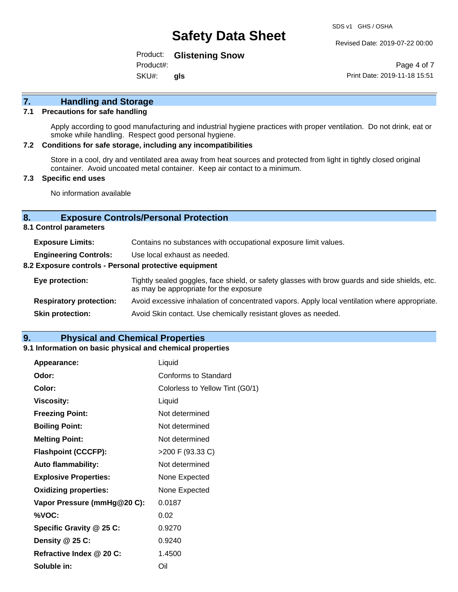#### Revised Date: 2019-07-22 00:00

Product: **Glistening Snow**

SKU#: Product#: **gls**

Page 4 of 7 Print Date: 2019-11-18 15:51

# **7. Handling and Storage**

#### **7.1 Precautions for safe handling**

Apply according to good manufacturing and industrial hygiene practices with proper ventilation. Do not drink, eat or smoke while handling. Respect good personal hygiene.

#### **7.2 Conditions for safe storage, including any incompatibilities**

Store in a cool, dry and ventilated area away from heat sources and protected from light in tightly closed original container. Avoid uncoated metal container. Keep air contact to a minimum.

#### **7.3 Specific end uses**

No information available

#### **8. Exposure Controls/Personal Protection**

**8.1 Control parameters**

| <b>Exposure Limits:</b>                               | Contains no substances with occupational exposure limit values.                                                                          |  |
|-------------------------------------------------------|------------------------------------------------------------------------------------------------------------------------------------------|--|
| <b>Engineering Controls:</b>                          | Use local exhaust as needed.                                                                                                             |  |
| 8.2 Exposure controls - Personal protective equipment |                                                                                                                                          |  |
| Eye protection:                                       | Tightly sealed goggles, face shield, or safety glasses with brow guards and side shields, etc.<br>as may be appropriate for the exposure |  |
| <b>Respiratory protection:</b>                        | Avoid excessive inhalation of concentrated vapors. Apply local ventilation where appropriate.                                            |  |
| <b>Skin protection:</b>                               | Avoid Skin contact. Use chemically resistant gloves as needed.                                                                           |  |

### **9. Physical and Chemical Properties**

#### **9.1 Information on basic physical and chemical properties**

| Appearance:                  | Liquid                          |
|------------------------------|---------------------------------|
| Odor:                        | Conforms to Standard            |
| Color:                       | Colorless to Yellow Tint (G0/1) |
| <b>Viscosity:</b>            | Liquid                          |
| <b>Freezing Point:</b>       | Not determined                  |
| <b>Boiling Point:</b>        | Not determined                  |
| <b>Melting Point:</b>        | Not determined                  |
| <b>Flashpoint (CCCFP):</b>   | >200 F (93.33 C)                |
| <b>Auto flammability:</b>    | Not determined                  |
| <b>Explosive Properties:</b> | None Expected                   |
| <b>Oxidizing properties:</b> | None Expected                   |
| Vapor Pressure (mmHg@20 C):  | 0.0187                          |
| %VOC:                        | 0.02                            |
| Specific Gravity @ 25 C:     | 0.9270                          |
| Density @ 25 C:              | 0.9240                          |
| Refractive Index @ 20 C:     | 1.4500                          |
| Soluble in:                  | Oil                             |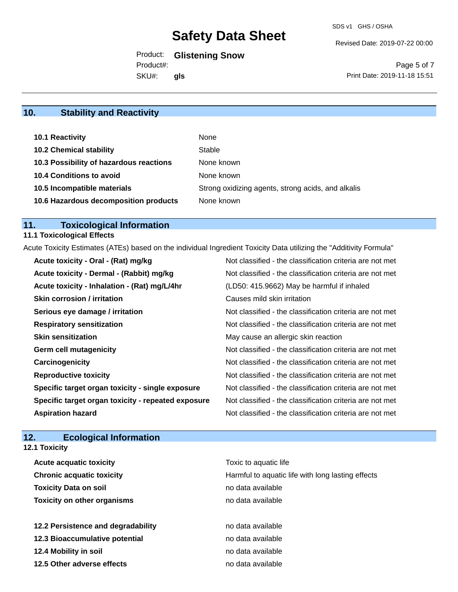Revised Date: 2019-07-22 00:00

Product: **Glistening Snow**

SKU#: Product#: **gls**

Page 5 of 7 Print Date: 2019-11-18 15:51

# **10. Stability and Reactivity**

| 10.1 Reactivity                         | None                                               |
|-----------------------------------------|----------------------------------------------------|
| <b>10.2 Chemical stability</b>          | Stable                                             |
| 10.3 Possibility of hazardous reactions | None known                                         |
| <b>10.4 Conditions to avoid</b>         | None known                                         |
| 10.5 Incompatible materials             | Strong oxidizing agents, strong acids, and alkalis |
| 10.6 Hazardous decomposition products   | None known                                         |

# **11. Toxicological Information**

# **11.1 Toxicological Effects**

Acute Toxicity Estimates (ATEs) based on the individual Ingredient Toxicity Data utilizing the "Additivity Formula"

| Acute toxicity - Oral - (Rat) mg/kg                | Not classified - the classification criteria are not met |
|----------------------------------------------------|----------------------------------------------------------|
| Acute toxicity - Dermal - (Rabbit) mg/kg           | Not classified - the classification criteria are not met |
| Acute toxicity - Inhalation - (Rat) mg/L/4hr       | (LD50: 415.9662) May be harmful if inhaled               |
| <b>Skin corrosion / irritation</b>                 | Causes mild skin irritation                              |
| Serious eye damage / irritation                    | Not classified - the classification criteria are not met |
| <b>Respiratory sensitization</b>                   | Not classified - the classification criteria are not met |
| <b>Skin sensitization</b>                          | May cause an allergic skin reaction                      |
| <b>Germ cell mutagenicity</b>                      | Not classified - the classification criteria are not met |
| Carcinogenicity                                    | Not classified - the classification criteria are not met |
| <b>Reproductive toxicity</b>                       | Not classified - the classification criteria are not met |
| Specific target organ toxicity - single exposure   | Not classified - the classification criteria are not met |
| Specific target organ toxicity - repeated exposure | Not classified - the classification criteria are not met |
| <b>Aspiration hazard</b>                           | Not classified - the classification criteria are not met |

# **12. Ecological Information**

**12.1 Toxicity**

| <b>Acute acquatic toxicity</b>     | Toxic to aquatic life                             |
|------------------------------------|---------------------------------------------------|
| <b>Chronic acquatic toxicity</b>   | Harmful to aquatic life with long lasting effects |
| <b>Toxicity Data on soil</b>       | no data available                                 |
| <b>Toxicity on other organisms</b> | no data available                                 |
|                                    |                                                   |
| 12.2 Persistence and degradability | no data available                                 |
| 12.3 Bioaccumulative potential     | no data available                                 |
| 12.4 Mobility in soil              | no data available                                 |
| 12.5 Other adverse effects         | no data available                                 |
|                                    |                                                   |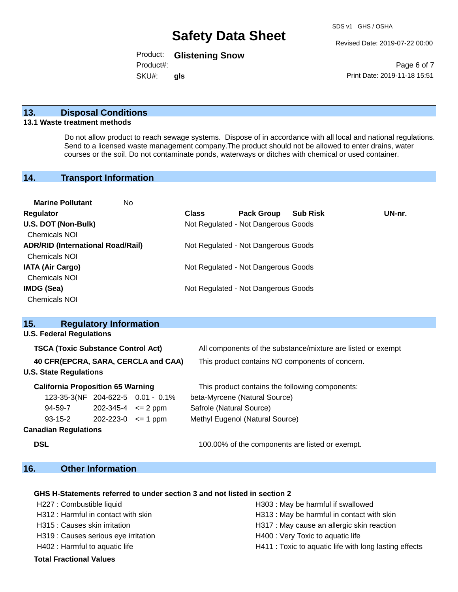Revised Date: 2019-07-22 00:00

Product: **Glistening Snow**

SKU#: Product#: **gls**

Page 6 of 7 Print Date: 2019-11-18 15:51

#### **13. Disposal Conditions**

#### **13.1 Waste treatment methods**

Do not allow product to reach sewage systems. Dispose of in accordance with all local and national regulations. Send to a licensed waste management company.The product should not be allowed to enter drains, water courses or the soil. Do not contaminate ponds, waterways or ditches with chemical or used container.

### **14. Transport Information**

| <b>Marine Pollutant</b><br>No            |              |                                     |                 |        |
|------------------------------------------|--------------|-------------------------------------|-----------------|--------|
| <b>Regulator</b>                         | <b>Class</b> | <b>Pack Group</b>                   | <b>Sub Risk</b> | UN-nr. |
| U.S. DOT (Non-Bulk)                      |              | Not Regulated - Not Dangerous Goods |                 |        |
| <b>Chemicals NOI</b>                     |              |                                     |                 |        |
| <b>ADR/RID (International Road/Rail)</b> |              | Not Regulated - Not Dangerous Goods |                 |        |
| Chemicals NOI                            |              |                                     |                 |        |
| <b>IATA (Air Cargo)</b>                  |              | Not Regulated - Not Dangerous Goods |                 |        |
| Chemicals NOI                            |              |                                     |                 |        |
| IMDG (Sea)                               |              | Not Regulated - Not Dangerous Goods |                 |        |
| <b>Chemicals NOI</b>                     |              |                                     |                 |        |

| 15. |                                           | <b>Regulatory Information</b> |                                     |                                                              |
|-----|-------------------------------------------|-------------------------------|-------------------------------------|--------------------------------------------------------------|
|     | <b>U.S. Federal Regulations</b>           |                               |                                     |                                                              |
|     | <b>TSCA (Toxic Substance Control Act)</b> |                               |                                     | All components of the substance/mixture are listed or exempt |
|     |                                           |                               | 40 CFR(EPCRA, SARA, CERCLA and CAA) | This product contains NO components of concern.              |
|     | <b>U.S. State Regulations</b>             |                               |                                     |                                                              |
|     | <b>California Proposition 65 Warning</b>  |                               |                                     | This product contains the following components:              |
|     |                                           |                               | 123-35-3(NF 204-622-5 0.01 - 0.1%   | beta-Myrcene (Natural Source)                                |
|     | 94-59-7                                   | $202 - 345 - 4 \leq 2$ ppm    |                                     | Safrole (Natural Source)                                     |
|     | $93 - 15 - 2$                             | $202 - 223 - 0 \leq 1$ ppm    |                                     | Methyl Eugenol (Natural Source)                              |
|     | <b>Canadian Regulations</b>               |                               |                                     |                                                              |
|     | <b>DSL</b>                                |                               |                                     | 100.00% of the components are listed or exempt.              |

# **16. Other Information**

#### **GHS H-Statements referred to under section 3 and not listed in section 2**

- H227 : Combustible liquid H303 : May be harmful if swallowed H312 : Harmful in contact with skin **H313** : May be harmful in contact with skin H315 : Causes skin irritation **H317** : May cause an allergic skin reaction H319 : Causes serious eye irritation H400 : Very Toxic to aquatic life H402 : Harmful to aquatic life **H411** : Toxic to aquatic life with long lasting effects
- **Total Fractional Values**